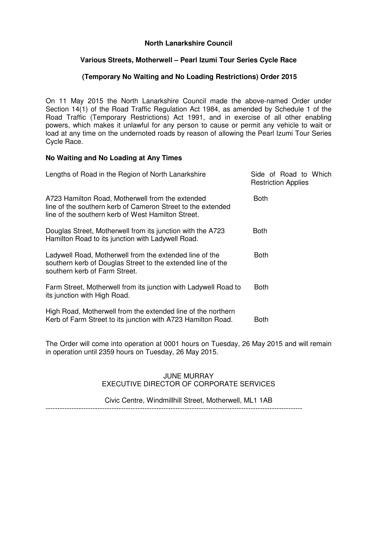# **North Lanarkshire Council**

# **Various Streets, Motherwell – Pearl Izumi Tour Series Cycle Race**

### **(Temporary No Waiting and No Loading Restrictions) Order 2015**

On 11 May 2015 the North Lanarkshire Council made the above-named Order under Section 14(1) of the Road Traffic Regulation Act 1984, as amended by Schedule 1 of the Road Traffic (Temporary Restrictions) Act 1991, and in exercise of all other enabling powers, which makes it unlawful for any person to cause or permit any vehicle to wait or load at any time on the undernoted roads by reason of allowing the Pearl Izumi Tour Series Cycle Race.

### **No Waiting and No Loading at Any Times**

| Lengths of Road in the Region of North Lanarkshire                                                                                                                    | Side of Road to Which<br><b>Restriction Applies</b> |
|-----------------------------------------------------------------------------------------------------------------------------------------------------------------------|-----------------------------------------------------|
| A723 Hamilton Road, Motherwell from the extended<br>line of the southern kerb of Cameron Street to the extended<br>line of the southern kerb of West Hamilton Street. | Both                                                |
| Douglas Street, Motherwell from its junction with the A723<br>Hamilton Road to its junction with Ladywell Road.                                                       | Both                                                |
| Ladywell Road, Motherwell from the extended line of the<br>southern kerb of Douglas Street to the extended line of the<br>southern kerb of Farm Street.               | Both                                                |
| Farm Street, Motherwell from its junction with Ladywell Road to<br>its junction with High Road.                                                                       | <b>Both</b>                                         |
| High Road, Motherwell from the extended line of the northern<br>Kerb of Farm Street to its junction with A723 Hamilton Road.                                          | Both                                                |

The Order will come into operation at 0001 hours on Tuesday, 26 May 2015 and will remain in operation until 2359 hours on Tuesday, 26 May 2015.

#### JUNE MURRAY EXECUTIVE DIRECTOR OF CORPORATE SERVICES

#### Civic Centre, Windmillhill Street, Motherwell, ML1 1AB

-------------------------------------------------------------------------------------------------------------